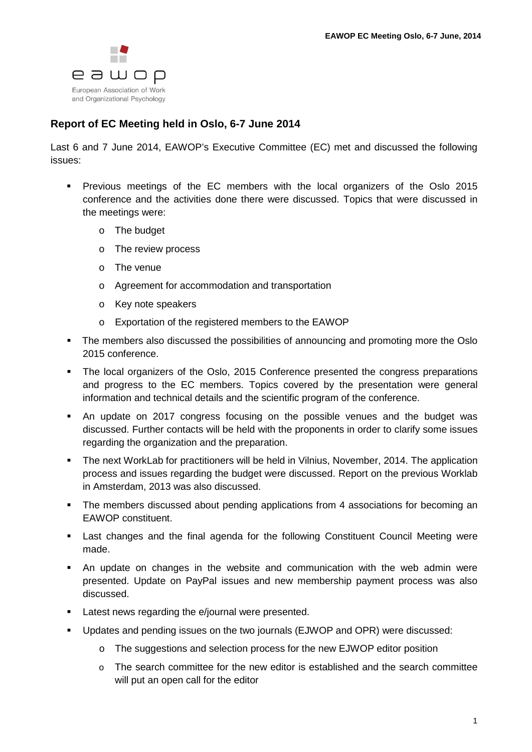

## **Report of EC Meeting held in Oslo, 6-7 June 2014**

Last 6 and 7 June 2014, EAWOP's Executive Committee (EC) met and discussed the following issues:

- **Previous meetings of the EC members with the local organizers of the Oslo 2015** conference and the activities done there were discussed. Topics that were discussed in the meetings were:
	- o The budget
	- o The review process
	- o The venue
	- o Agreement for accommodation and transportation
	- o Key note speakers
	- o Exportation of the registered members to the EAWOP
- The members also discussed the possibilities of announcing and promoting more the Oslo 2015 conference.
- The local organizers of the Oslo, 2015 Conference presented the congress preparations and progress to the EC members. Topics covered by the presentation were general information and technical details and the scientific program of the conference.
- An update on 2017 congress focusing on the possible venues and the budget was discussed. Further contacts will be held with the proponents in order to clarify some issues regarding the organization and the preparation.
- The next WorkLab for practitioners will be held in Vilnius, November, 2014. The application process and issues regarding the budget were discussed. Report on the previous Worklab in Amsterdam, 2013 was also discussed.
- The members discussed about pending applications from 4 associations for becoming an EAWOP constituent.
- Last changes and the final agenda for the following Constituent Council Meeting were made.
- An update on changes in the website and communication with the web admin were presented. Update on PayPal issues and new membership payment process was also discussed.
- **EXECT:** Latest news regarding the e/journal were presented.
- Updates and pending issues on the two journals (EJWOP and OPR) were discussed:
	- o The suggestions and selection process for the new EJWOP editor position
	- $\circ$  The search committee for the new editor is established and the search committee will put an open call for the editor